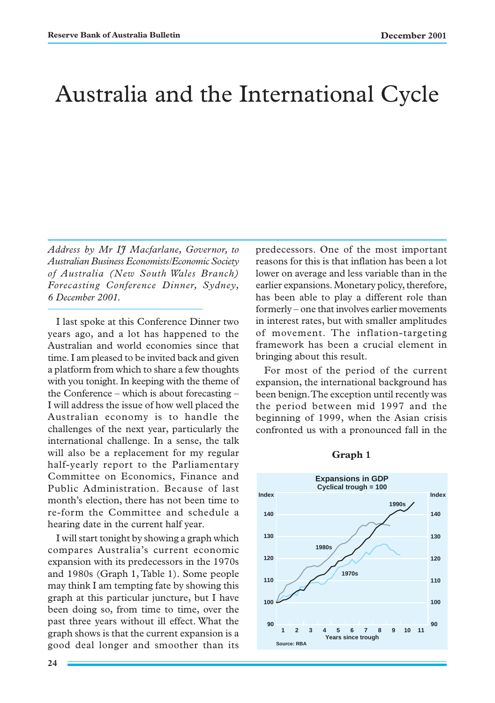# Australia and the International Cycle

*Address by Mr IJ Macfarlane, Governor, to Australian Business Economists/Economic Society of Australia (New South Wales Branch) Forecasting Conference Dinner, Sydney, 6 December 2001.*

I last spoke at this Conference Dinner two years ago, and a lot has happened to the Australian and world economies since that time. I am pleased to be invited back and given a platform from which to share a few thoughts with you tonight. In keeping with the theme of the Conference – which is about forecasting – I will address the issue of how well placed the Australian economy is to handle the challenges of the next year, particularly the international challenge. In a sense, the talk will also be a replacement for my regular half-yearly report to the Parliamentary Committee on Economics, Finance and Public Administration. Because of last month's election, there has not been time to re-form the Committee and schedule a hearing date in the current half year.

I will start tonight by showing a graph which compares Australia's current economic expansion with its predecessors in the 1970s and 1980s (Graph 1, Table 1). Some people may think I am tempting fate by showing this graph at this particular juncture, but I have been doing so, from time to time, over the past three years without ill effect. What the graph shows is that the current expansion is a good deal longer and smoother than its predecessors. One of the most important reasons for this is that inflation has been a lot lower on average and less variable than in the earlier expansions. Monetary policy, therefore, has been able to play a different role than formerly – one that involves earlier movements in interest rates, but with smaller amplitudes of movement. The inflation-targeting framework has been a crucial element in bringing about this result.

For most of the period of the current expansion, the international background has been benign. The exception until recently was the period between mid 1997 and the beginning of 1999, when the Asian crisis confronted us with a pronounced fall in the



#### **Graph 1**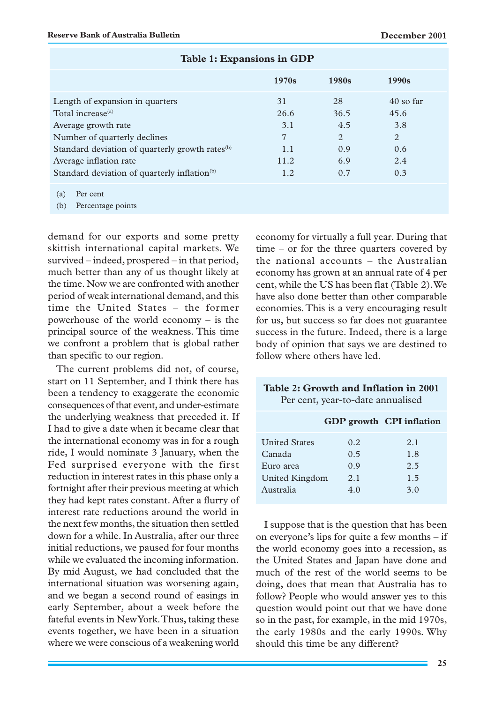|                                                                                                                                                                                                                                                                              | 1970s                                        | 1980s                                       | 1990 <sub>s</sub>                                    |  |
|------------------------------------------------------------------------------------------------------------------------------------------------------------------------------------------------------------------------------------------------------------------------------|----------------------------------------------|---------------------------------------------|------------------------------------------------------|--|
| Length of expansion in quarters<br>Total increase <sup>(a)</sup><br>Average growth rate<br>Number of quarterly declines<br>Standard deviation of quarterly growth rates <sup>(b)</sup><br>Average inflation rate<br>Standard deviation of quarterly inflation <sup>(b)</sup> | 31<br>26.6<br>3.1<br>7<br>1.1<br>11.2<br>1.2 | 28<br>36.5<br>4.5<br>2<br>0.9<br>6.9<br>0.7 | $40$ so far<br>45.6<br>3.8<br>2<br>0.6<br>2.4<br>0.3 |  |
| Per cent<br>(a)<br>Percentage points<br>(b)                                                                                                                                                                                                                                  |                                              |                                             |                                                      |  |

#### **Table 1: Expansions in GDP**

demand for our exports and some pretty skittish international capital markets. We survived – indeed, prospered – in that period, much better than any of us thought likely at the time. Now we are confronted with another period of weak international demand, and this time the United States – the former powerhouse of the world economy – is the principal source of the weakness. This time we confront a problem that is global rather than specific to our region.

The current problems did not, of course, start on 11 September, and I think there has been a tendency to exaggerate the economic consequences of that event, and under-estimate the underlying weakness that preceded it. If I had to give a date when it became clear that the international economy was in for a rough ride, I would nominate 3 January, when the Fed surprised everyone with the first reduction in interest rates in this phase only a fortnight after their previous meeting at which they had kept rates constant. After a flurry of interest rate reductions around the world in the next few months, the situation then settled down for a while. In Australia, after our three initial reductions, we paused for four months while we evaluated the incoming information. By mid August, we had concluded that the international situation was worsening again, and we began a second round of easings in early September, about a week before the fateful events in New York. Thus, taking these events together, we have been in a situation where we were conscious of a weakening world economy for virtually a full year. During that time – or for the three quarters covered by the national accounts – the Australian economy has grown at an annual rate of 4 per cent, while the US has been flat (Table 2). We have also done better than other comparable economies. This is a very encouraging result for us, but success so far does not guarantee success in the future. Indeed, there is a large body of opinion that says we are destined to follow where others have led.

**Table 2: Growth and Inflation in 2001** Per cent, year-to-date annualised

|                      |      | GDP growth CPI inflation |
|----------------------|------|--------------------------|
| <b>United States</b> | 0.2. | 2.1                      |
| Canada               | 0.5  | 1.8                      |
| Euro area            | 0.9  | 2.5                      |
| United Kingdom       | 2.1  | 1.5                      |
| Australia            | 4.0  | 3.0                      |
|                      |      |                          |

I suppose that is the question that has been on everyone's lips for quite a few months – if the world economy goes into a recession, as the United States and Japan have done and much of the rest of the world seems to be doing, does that mean that Australia has to follow? People who would answer yes to this question would point out that we have done so in the past, for example, in the mid 1970s, the early 1980s and the early 1990s. Why should this time be any different?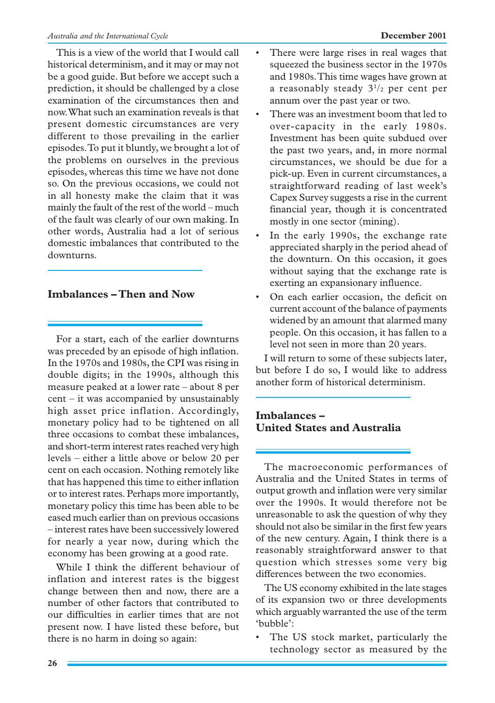This is a view of the world that I would call historical determinism, and it may or may not be a good guide. But before we accept such a prediction, it should be challenged by a close examination of the circumstances then and now. What such an examination reveals is that present domestic circumstances are very different to those prevailing in the earlier episodes. To put it bluntly, we brought a lot of the problems on ourselves in the previous episodes, whereas this time we have not done so. On the previous occasions, we could not in all honesty make the claim that it was mainly the fault of the rest of the world – much of the fault was clearly of our own making. In other words, Australia had a lot of serious domestic imbalances that contributed to the downturns.

### **Imbalances – Then and Now**

For a start, each of the earlier downturns was preceded by an episode of high inflation. In the 1970s and 1980s, the CPI was rising in double digits; in the 1990s, although this measure peaked at a lower rate – about 8 per cent – it was accompanied by unsustainably high asset price inflation. Accordingly, monetary policy had to be tightened on all three occasions to combat these imbalances, and short-term interest rates reached very high levels – either a little above or below 20 per cent on each occasion. Nothing remotely like that has happened this time to either inflation or to interest rates. Perhaps more importantly, monetary policy this time has been able to be eased much earlier than on previous occasions – interest rates have been successively lowered for nearly a year now, during which the economy has been growing at a good rate.

While I think the different behaviour of inflation and interest rates is the biggest change between then and now, there are a number of other factors that contributed to our difficulties in earlier times that are not present now. I have listed these before, but there is no harm in doing so again:

- There were large rises in real wages that squeezed the business sector in the 1970s and 1980s. This time wages have grown at a reasonably steady  $3^{1}/2$  per cent per annum over the past year or two.
- There was an investment boom that led to over-capacity in the early 1980s. Investment has been quite subdued over the past two years, and, in more normal circumstances, we should be due for a pick-up. Even in current circumstances, a straightforward reading of last week's Capex Survey suggests a rise in the current financial year, though it is concentrated mostly in one sector (mining).
- In the early 1990s, the exchange rate appreciated sharply in the period ahead of the downturn. On this occasion, it goes without saying that the exchange rate is exerting an expansionary influence.
- On each earlier occasion, the deficit on current account of the balance of payments widened by an amount that alarmed many people. On this occasion, it has fallen to a level not seen in more than 20 years.

I will return to some of these subjects later, but before I do so, I would like to address another form of historical determinism.

# **Imbalances – United States and Australia**

The macroeconomic performances of Australia and the United States in terms of output growth and inflation were very similar over the 1990s. It would therefore not be unreasonable to ask the question of why they should not also be similar in the first few years of the new century. Again, I think there is a reasonably straightforward answer to that question which stresses some very big differences between the two economies.

The US economy exhibited in the late stages of its expansion two or three developments which arguably warranted the use of the term 'bubble':

The US stock market, particularly the technology sector as measured by the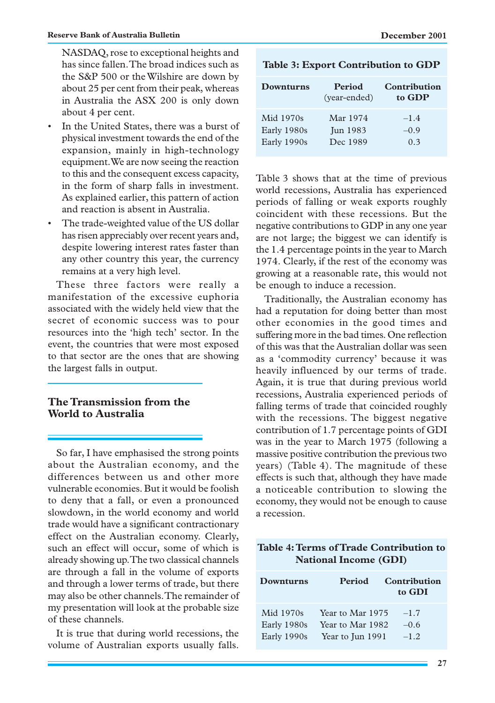NASDAQ, rose to exceptional heights and has since fallen. The broad indices such as the S&P 500 or the Wilshire are down by about 25 per cent from their peak, whereas in Australia the ASX 200 is only down about 4 per cent.

- In the United States, there was a burst of physical investment towards the end of the expansion, mainly in high-technology equipment. We are now seeing the reaction to this and the consequent excess capacity, in the form of sharp falls in investment. As explained earlier, this pattern of action and reaction is absent in Australia.
- The trade-weighted value of the US dollar has risen appreciably over recent years and, despite lowering interest rates faster than any other country this year, the currency remains at a very high level.

These three factors were really a manifestation of the excessive euphoria associated with the widely held view that the secret of economic success was to pour resources into the 'high tech' sector. In the event, the countries that were most exposed to that sector are the ones that are showing the largest falls in output.

# **The Transmission from the World to Australia**

So far, I have emphasised the strong points about the Australian economy, and the differences between us and other more vulnerable economies. But it would be foolish to deny that a fall, or even a pronounced slowdown, in the world economy and world trade would have a significant contractionary effect on the Australian economy. Clearly, such an effect will occur, some of which is already showing up. The two classical channels are through a fall in the volume of exports and through a lower terms of trade, but there may also be other channels. The remainder of my presentation will look at the probable size of these channels.

It is true that during world recessions, the volume of Australian exports usually falls.

| Downturns   | <b>Period</b><br>(year-ended) | Contribution<br>to GDP |
|-------------|-------------------------------|------------------------|
| Mid 1970s   | Mar 1974                      | $-1.4$                 |
| Early 1980s | <b>Jun 1983</b>               | $-0.9$                 |
| Early 1990s | Dec 1989                      | 0.3                    |

**Table 3: Export Contribution to GDP**

Table 3 shows that at the time of previous world recessions, Australia has experienced periods of falling or weak exports roughly coincident with these recessions. But the negative contributions to GDP in any one year are not large; the biggest we can identify is the 1.4 percentage points in the year to March 1974. Clearly, if the rest of the economy was growing at a reasonable rate, this would not be enough to induce a recession.

Traditionally, the Australian economy has had a reputation for doing better than most other economies in the good times and suffering more in the bad times. One reflection of this was that the Australian dollar was seen as a 'commodity currency' because it was heavily influenced by our terms of trade. Again, it is true that during previous world recessions, Australia experienced periods of falling terms of trade that coincided roughly with the recessions. The biggest negative contribution of 1.7 percentage points of GDI was in the year to March 1975 (following a massive positive contribution the previous two years) (Table 4). The magnitude of these effects is such that, although they have made a noticeable contribution to slowing the economy, they would not be enough to cause a recession.

# **Table 4: Terms of Trade Contribution to National Income (GDI)**

| Downturns   | <b>Period</b>    | Contribution<br>to GDI |
|-------------|------------------|------------------------|
| Mid 1970s   | Year to Mar 1975 | $-1.7$                 |
| Early 1980s | Year to Mar 1982 | $-0.6$                 |
| Early 1990s | Year to Jun 1991 | $-1.2$                 |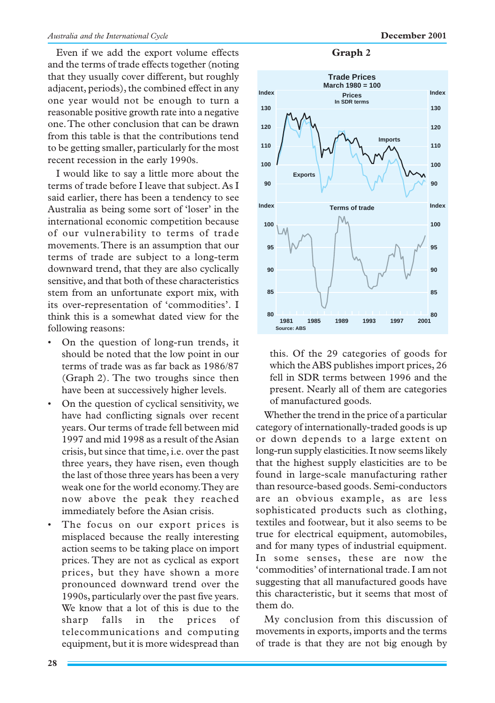Even if we add the export volume effects and the terms of trade effects together (noting that they usually cover different, but roughly adjacent, periods), the combined effect in any one year would not be enough to turn a reasonable positive growth rate into a negative one. The other conclusion that can be drawn from this table is that the contributions tend to be getting smaller, particularly for the most recent recession in the early 1990s.

I would like to say a little more about the terms of trade before I leave that subject. As I said earlier, there has been a tendency to see Australia as being some sort of 'loser' in the international economic competition because of our vulnerability to terms of trade movements. There is an assumption that our terms of trade are subject to a long-term downward trend, that they are also cyclically sensitive, and that both of these characteristics stem from an unfortunate export mix, with its over-representation of 'commodities'. I think this is a somewhat dated view for the following reasons:

- On the question of long-run trends, it should be noted that the low point in our terms of trade was as far back as 1986/87 (Graph 2). The two troughs since then have been at successively higher levels.
- On the question of cyclical sensitivity, we have had conflicting signals over recent years. Our terms of trade fell between mid 1997 and mid 1998 as a result of the Asian crisis, but since that time, i.e. over the past three years, they have risen, even though the last of those three years has been a very weak one for the world economy. They are now above the peak they reached immediately before the Asian crisis.
- The focus on our export prices is misplaced because the really interesting action seems to be taking place on import prices. They are not as cyclical as export prices, but they have shown a more pronounced downward trend over the 1990s, particularly over the past five years. We know that a lot of this is due to the sharp falls in the prices of telecommunications and computing equipment, but it is more widespread than

#### **Graph 2**



this. Of the 29 categories of goods for which the ABS publishes import prices, 26 fell in SDR terms between 1996 and the present. Nearly all of them are categories of manufactured goods.

Whether the trend in the price of a particular category of internationally-traded goods is up or down depends to a large extent on long-run supply elasticities. It now seems likely that the highest supply elasticities are to be found in large-scale manufacturing rather than resource-based goods. Semi-conductors are an obvious example, as are less sophisticated products such as clothing, textiles and footwear, but it also seems to be true for electrical equipment, automobiles, and for many types of industrial equipment. In some senses, these are now the 'commodities' of international trade. I am not suggesting that all manufactured goods have this characteristic, but it seems that most of them do.

My conclusion from this discussion of movements in exports, imports and the terms of trade is that they are not big enough by